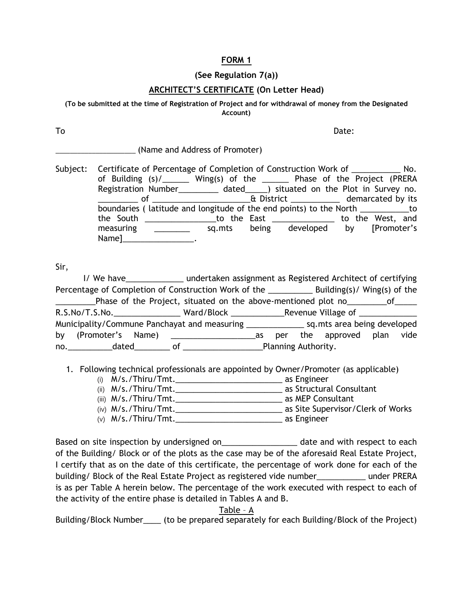## **FORM 1**

## **(See Regulation 7(a))**

## **ARCHITECT'S CERTIFICATE (On Letter Head)**

**(To be submitted at the time of Registration of Project and for withdrawal of money from the Designated Account)**

To and the Date: the Date: the Date: the Date: the Date: the Date: the Date: the Date: the Date: the Date: the Date: the Date: the Date: the Date: the Date: the Date: the Date: the Date: the Date: the Date: the Date: the D

\_\_\_\_\_\_\_\_\_\_\_\_\_\_\_\_\_\_\_\_\_\_ (Name and Address of Promoter)

Subject: Certificate of Percentage of Completion of Construction Work of \_\_\_\_\_\_\_\_\_\_\_\_ No. of Building (s)/\_\_\_\_\_\_\_ Wing(s) of the \_\_\_\_\_\_\_ Phase of the Project (PRERA Registration Number\_\_\_\_\_\_\_\_\_ dated\_\_\_\_\_) situated on the Plot in Survey no. \_\_\_\_\_\_\_\_\_ of \_\_\_\_\_\_\_\_\_\_\_\_\_\_\_\_\_\_\_\_\_\_& District \_\_\_\_\_\_\_\_\_\_\_ demarcated by its boundaries ( latitude and longitude of the end points) to the North \_\_\_\_\_\_\_\_\_\_\_to the South \_\_\_\_\_\_\_\_\_\_\_\_\_\_\_\_to the East \_\_\_\_\_\_\_\_\_\_\_\_\_\_ to the West, and measuring \_\_\_\_\_\_\_\_ sq.mts being developed by [Promoter's Name]\_\_\_\_\_\_\_\_\_\_\_\_\_\_\_\_.

Sir,

|                                                                                                                                                                                                                                | I/ We have_________________ undertaken assignment as Registered Architect of certifying |                     |  |                            |  |  |
|--------------------------------------------------------------------------------------------------------------------------------------------------------------------------------------------------------------------------------|-----------------------------------------------------------------------------------------|---------------------|--|----------------------------|--|--|
|                                                                                                                                                                                                                                |                                                                                         |                     |  |                            |  |  |
| Phase of the Project, situated on the above-mentioned plot no ___________of______<br><u>and the state of the state</u>                                                                                                         |                                                                                         |                     |  |                            |  |  |
| R.S.No/T.S.No. _______________________Ward/Block ________________________________                                                                                                                                              |                                                                                         |                     |  |                            |  |  |
|                                                                                                                                                                                                                                |                                                                                         |                     |  |                            |  |  |
|                                                                                                                                                                                                                                |                                                                                         |                     |  | per the approved plan vide |  |  |
| no. dated of the contract of the contract of the contract of the contract of the contract of the contract of the contract of the contract of the contract of the contract of the contract of the contract of the contract of t |                                                                                         | Planning Authority. |  |                            |  |  |

1. Following technical professionals are appointed by Owner/Promoter (as applicable)

- (i) M/s./Thiru/Tmt.\_\_\_\_\_\_\_\_\_\_\_\_\_\_\_\_\_\_\_\_\_\_\_\_ as Engineer
- (ii) M/s./Thiru/Tmt.\_\_\_\_\_\_\_\_\_\_\_\_\_\_\_\_\_\_\_\_\_\_\_\_ as Structural Consultant
- (iii) M/s./Thiru/Tmt.\_\_\_\_\_\_\_\_\_\_\_\_\_\_\_\_\_\_\_\_\_\_\_\_ as MEP Consultant
- (iv) M/s./Thiru/Tmt. The contract of Works as Site Supervisor/Clerk of Works
- (v) M/s./Thiru/Tmt. as Engineer

Based on site inspection by undersigned on\_\_\_\_\_\_\_\_\_\_\_\_\_\_\_\_\_\_\_\_\_ date and with respect to each of the Building/ Block or of the plots as the case may be of the aforesaid Real Estate Project, I certify that as on the date of this certificate, the percentage of work done for each of the building/ Block of the Real Estate Project as registered vide number\_\_\_\_\_\_\_\_\_\_\_ under PRERA is as per Table A herein below. The percentage of the work executed with respect to each of the activity of the entire phase is detailed in Tables A and B.

## Table – A

Building/Block Number \_\_\_\_ (to be prepared separately for each Building/Block of the Project)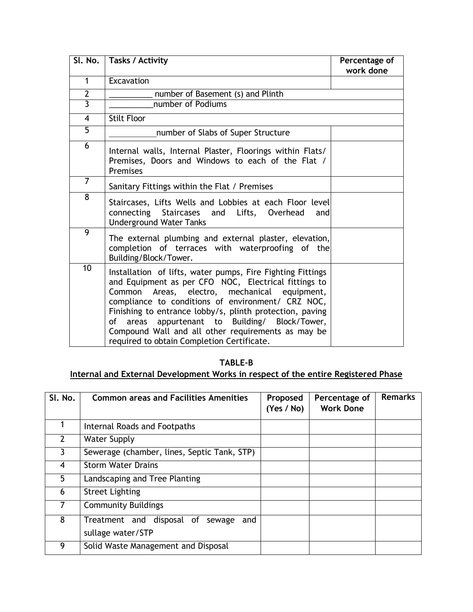|                | SI. No.   Tasks / Activity                                                                                                                                                                                                                                                                                                                                                                                                                         | Percentage of<br>work done |
|----------------|----------------------------------------------------------------------------------------------------------------------------------------------------------------------------------------------------------------------------------------------------------------------------------------------------------------------------------------------------------------------------------------------------------------------------------------------------|----------------------------|
| $\mathbf{1}$   | Excavation                                                                                                                                                                                                                                                                                                                                                                                                                                         |                            |
| $\overline{2}$ | number of Basement (s) and Plinth                                                                                                                                                                                                                                                                                                                                                                                                                  |                            |
| $\overline{3}$ | number of Podiums                                                                                                                                                                                                                                                                                                                                                                                                                                  |                            |
| $\overline{4}$ | <b>Stilt Floor</b>                                                                                                                                                                                                                                                                                                                                                                                                                                 |                            |
| $\overline{5}$ | number of Slabs of Super Structure                                                                                                                                                                                                                                                                                                                                                                                                                 |                            |
| 6              | Internal walls, Internal Plaster, Floorings within Flats/<br>Premises, Doors and Windows to each of the Flat /<br>Premises                                                                                                                                                                                                                                                                                                                         |                            |
| $\overline{7}$ | Sanitary Fittings within the Flat / Premises                                                                                                                                                                                                                                                                                                                                                                                                       |                            |
| 8              | Staircases, Lifts Wells and Lobbies at each Floor level<br>connecting<br>Staircases<br>and Lifts, Overhead<br>andl<br><b>Underground Water Tanks</b>                                                                                                                                                                                                                                                                                               |                            |
| 9              | The external plumbing and external plaster, elevation,<br>completion of terraces with waterproofing of the<br>Building/Block/Tower.                                                                                                                                                                                                                                                                                                                |                            |
| 10             | Installation of lifts, water pumps, Fire Fighting Fittings<br>and Equipment as per CFO NOC, Electrical fittings to<br>Areas, electro, mechanical equipment,<br>Common<br>compliance to conditions of environment/ CRZ NOC,<br>Finishing to entrance lobby/s, plinth protection, paving<br>appurtenant to Building/ Block/Tower,<br>of<br>areas<br>Compound Wall and all other requirements as may be<br>required to obtain Completion Certificate. |                            |

**TABLE-B**

**Internal and External Development Works in respect of the entire Registered Phase**

| SI. No. | <b>Common areas and Facilities Amenities</b>                    | Proposed<br>(Yes / No) | Percentage of<br><b>Work Done</b> | <b>Remarks</b> |
|---------|-----------------------------------------------------------------|------------------------|-----------------------------------|----------------|
|         | Internal Roads and Footpaths                                    |                        |                                   |                |
| 2       | <b>Water Supply</b>                                             |                        |                                   |                |
| 3       | Sewerage (chamber, lines, Septic Tank, STP)                     |                        |                                   |                |
| 4       | <b>Storm Water Drains</b>                                       |                        |                                   |                |
| 5       | Landscaping and Tree Planting                                   |                        |                                   |                |
| 6       | <b>Street Lighting</b>                                          |                        |                                   |                |
|         | <b>Community Buildings</b>                                      |                        |                                   |                |
| 8       | Treatment and disposal of<br>sewage<br>and<br>sullage water/STP |                        |                                   |                |
| 9       | Solid Waste Management and Disposal                             |                        |                                   |                |